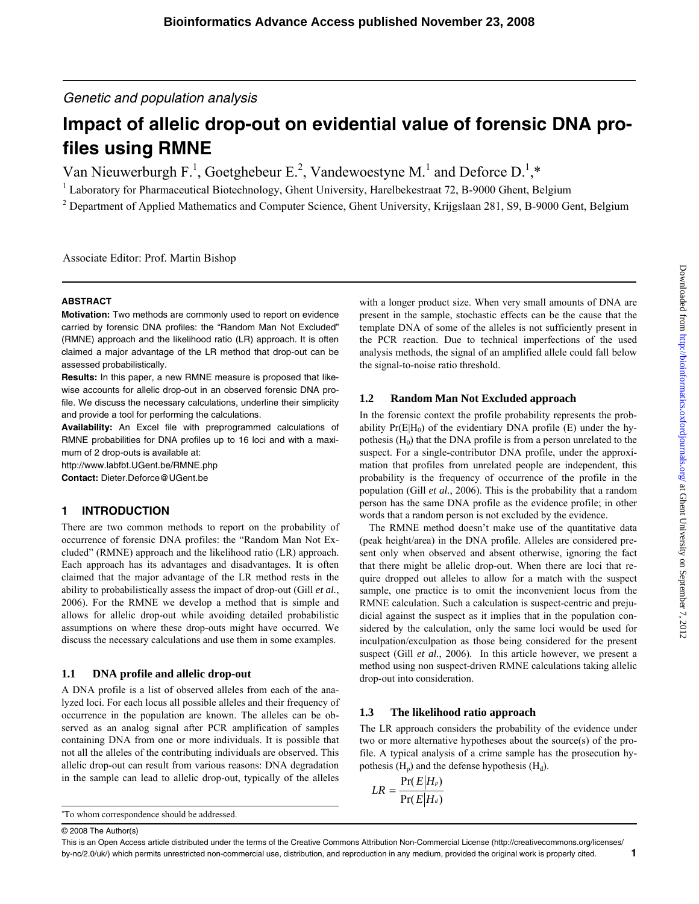*Genetic and population analysis* 

# **Impact of allelic drop-out on evidential value of forensic DNA profiles using RMNE**

Van Nieuwerburgh F.<sup>1</sup>, Goetghebeur E.<sup>2</sup>, Vandewoestyne M.<sup>1</sup> and Deforce D.<sup>1</sup>,\*

<sup>1</sup> Laboratory for Pharmaceutical Biotechnology, Ghent University, Harelbekestraat 72, B-9000 Ghent, Belgium

<sup>2</sup> Department of Applied Mathematics and Computer Science, Ghent University, Krijgslaan 281, S9, B-9000 Gent, Belgium

Associate Editor: Prof. Martin Bishop

#### **ABSTRACT**

**Motivation:** Two methods are commonly used to report on evidence carried by forensic DNA profiles: the "Random Man Not Excluded" (RMNE) approach and the likelihood ratio (LR) approach. It is often claimed a major advantage of the LR method that drop-out can be assessed probabilistically.

**Results:** In this paper, a new RMNE measure is proposed that likewise accounts for allelic drop-out in an observed forensic DNA profile. We discuss the necessary calculations, underline their simplicity and provide a tool for performing the calculations.

**Availability:** An Excel file with preprogrammed calculations of RMNE probabilities for DNA profiles up to 16 loci and with a maximum of 2 drop-outs is available at:

<http://www.labfbt.UGent.be/RMNE.php> **Contact:** Dieter.Deforce@UGent.be

#### **1 INTRODUCTION**

There are two common methods to report on the probability of occurrence of forensic DNA profiles: the "Random Man Not Excluded" (RMNE) approach and the likelihood ratio (LR) approach. Each approach has its advantages and disadvantages. It is often claimed that the major advantage of the LR method rests in the ability to probabilistically assess the impact of drop-out (Gill *et al.*, 2006). For the RMNE we develop a method that is simple and allows for allelic drop-out while avoiding detailed probabilistic assumptions on where these drop-outs might have occurred. We discuss the necessary calculations and use them in some examples.

#### **1.1 DNA profile and allelic drop-out**

A DNA profile is a list of observed alleles from each of the analyzed loci. For each locus all possible alleles and their frequency of occurrence in the population are known. The alleles can be observed as an analog signal after PCR amplification of samples containing DNA from one or more individuals. It is possible that not all the alleles of the contributing individuals are observed. This allelic drop-out can result from various reasons: DNA degradation in the sample can lead to allelic drop-out, typically of the alleles

\* To whom correspondence should be addressed.

© 2008 The Author(s)

with a longer product size. When very small amounts of DNA are present in the sample, stochastic effects can be the cause that the template DNA of some of the alleles is not sufficiently present in the PCR reaction. Due to technical imperfections of the used analysis methods, the signal of an amplified allele could fall below the signal-to-noise ratio threshold.

## **1.2 Random Man Not Excluded approach**

In the forensic context the profile probability represents the probability  $Pr(E|H_0)$  of the evidentiary DNA profile (E) under the hypothesis  $(H<sub>0</sub>)$  that the DNA profile is from a person unrelated to the suspect. For a single-contributor DNA profile, under the approximation that profiles from unrelated people are independent, this probability is the frequency of occurrence of the profile in the population (Gill *et al.*, 2006). This is the probability that a random person has the same DNA profile as the evidence profile; in other words that a random person is not excluded by the evidence.

The RMNE method doesn't make use of the quantitative data (peak height/area) in the DNA profile. Alleles are considered present only when observed and absent otherwise, ignoring the fact that there might be allelic drop-out. When there are loci that require dropped out alleles to allow for a match with the suspect sample, one practice is to omit the inconvenient locus from the RMNE calculation. Such a calculation is suspect-centric and prejudicial against the suspect as it implies that in the population considered by the calculation, only the same loci would be used for inculpation/exculpation as those being considered for the present suspect (Gill *et al.*, 2006). In this article however, we present a method using non suspect-driven RMNE calculations taking allelic drop-out into consideration.

#### **1.3 The likelihood ratio approach**

The LR approach considers the probability of the evidence under two or more alternative hypotheses about the source(s) of the profile. A typical analysis of a crime sample has the prosecution hypothesis  $(H_p)$  and the defense hypothesis  $(H_d)$ .

$$
LR = \frac{\Pr(E|H_p)}{\Pr(E|H_d)}
$$

Downloaded from http://bioinformatics.oxfordjournals.org/ at Ghent University on September 7, 2012 Downloaded from <http://bioinformatics.oxfordjournals.org/> at Ghent University on September 7, 2012

This is an Open Access article distributed under the terms of the Creative Commons Attribution Non-Commercial License (http://creativecommons.org/licenses/ by-nc/2.0/uk/) which permits unrestricted non-commercial use, distribution, and reproduction in any medium, provided the original work is properly cited. **1**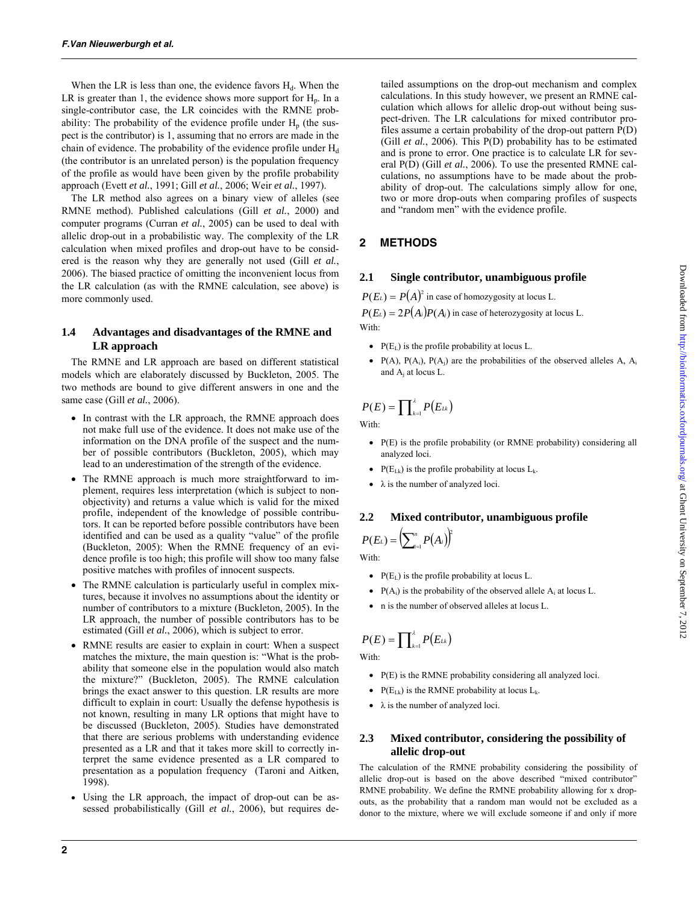When the LR is less than one, the evidence favors  $H_d$ . When the LR is greater than 1, the evidence shows more support for  $H<sub>p</sub>$ . In a single-contributor case, the LR coincides with the RMNE probability: The probability of the evidence profile under  $H_p$  (the suspect is the contributor) is 1, assuming that no errors are made in the chain of evidence. The probability of the evidence profile under  $H_d$ (the contributor is an unrelated person) is the population frequency of the profile as would have been given by the profile probability approach (Evett *et al.*, 1991; Gill *et al.*, 2006; Weir *et al.*, 1997).

The LR method also agrees on a binary view of alleles (see RMNE method). Published calculations (Gill *et al.*, 2000) and computer programs (Curran *et al.*, 2005) can be used to deal with allelic drop-out in a probabilistic way. The complexity of the LR calculation when mixed profiles and drop-out have to be considered is the reason why they are generally not used (Gill *et al.*, 2006). The biased practice of omitting the inconvenient locus from the LR calculation (as with the RMNE calculation, see above) is more commonly used.

## **1.4 Advantages and disadvantages of the RMNE and LR approach**

The RMNE and LR approach are based on different statistical models which are elaborately discussed by Buckleton, 2005. The two methods are bound to give different answers in one and the same case (Gill *et al.*, 2006).

- In contrast with the LR approach, the RMNE approach does not make full use of the evidence. It does not make use of the information on the DNA profile of the suspect and the number of possible contributors (Buckleton, 2005), which may lead to an underestimation of the strength of the evidence.
- The RMNE approach is much more straightforward to implement, requires less interpretation (which is subject to nonobjectivity) and returns a value which is valid for the mixed profile, independent of the knowledge of possible contributors. It can be reported before possible contributors have been identified and can be used as a quality "value" of the profile (Buckleton, 2005): When the RMNE frequency of an evidence profile is too high; this profile will show too many false positive matches with profiles of innocent suspects.
- The RMNE calculation is particularly useful in complex mixtures, because it involves no assumptions about the identity or number of contributors to a mixture (Buckleton, 2005). In the LR approach, the number of possible contributors has to be estimated (Gill *et al.*, 2006), which is subject to error.
- RMNE results are easier to explain in court: When a suspect matches the mixture, the main question is: "What is the probability that someone else in the population would also match the mixture?" (Buckleton, 2005). The RMNE calculation brings the exact answer to this question. LR results are more difficult to explain in court: Usually the defense hypothesis is not known, resulting in many LR options that might have to be discussed (Buckleton, 2005). Studies have demonstrated that there are serious problems with understanding evidence presented as a LR and that it takes more skill to correctly interpret the same evidence presented as a LR compared to presentation as a population frequency (Taroni and Aitken, 1998).
- Using the LR approach, the impact of drop-out can be assessed probabilistically (Gill *et al.*, 2006), but requires de-

tailed assumptions on the drop-out mechanism and complex calculations. In this study however, we present an RMNE calculation which allows for allelic drop-out without being suspect-driven. The LR calculations for mixed contributor profiles assume a certain probability of the drop-out pattern P(D) (Gill *et al.*, 2006). This P(D) probability has to be estimated and is prone to error. One practice is to calculate LR for several P(D) (Gill *et al.*, 2006). To use the presented RMNE calculations, no assumptions have to be made about the probability of drop-out. The calculations simply allow for one, two or more drop-outs when comparing profiles of suspects and "random men" with the evidence profile.

# **2 METHODS**

## **2.1 Single contributor, unambiguous profile**

 $P(E_L) = P(A)^2$  in case of homozygosity at locus L.

 $P(E_L) = 2P(A_i)P(A_j)$  in case of heterozygosity at locus L. With:

- $P(E_L)$  is the profile probability at locus L.
- $P(A)$ ,  $P(A_i)$ ,  $P(A_i)$  are the probabilities of the observed alleles A,  $A_i$ and  $A_i$  at locus L.

$$
P(E) = \prod\nolimits_{k=1}^{2} P(E_{Lk})
$$

With:

- P(E) is the profile probability (or RMNE probability) considering all analyzed loci.
- $P(E_{Lk})$  is the profile probability at locus  $L_k$ .
- $\bullet$   $\lambda$  is the number of analyzed loci.

# **2.2 Mixed contributor, unambiguous profile**   $P(E_{L}) = \left( \sum_{i=1}^{n} P(A_{i}) \right)^{2}$

With:

- $P(E_1)$  is the profile probability at locus L.
- $P(A_i)$  is the probability of the observed allele  $A_i$  at locus L.
- n is the number of observed alleles at locus L.

$$
P(E) = \prod_{k=1}^{\lambda} P(E_{Lk})
$$

With:

- P(E) is the RMNE probability considering all analyzed loci.
- $P(E_{Lk})$  is the RMNE probability at locus  $L_k$ .
- $\bullet$   $\lambda$  is the number of analyzed loci.

## **2.3 Mixed contributor, considering the possibility of allelic drop-out**

The calculation of the RMNE probability considering the possibility of allelic drop-out is based on the above described "mixed contributor" RMNE probability. We define the RMNE probability allowing for x dropouts, as the probability that a random man would not be excluded as a donor to the mixture, where we will exclude someone if and only if more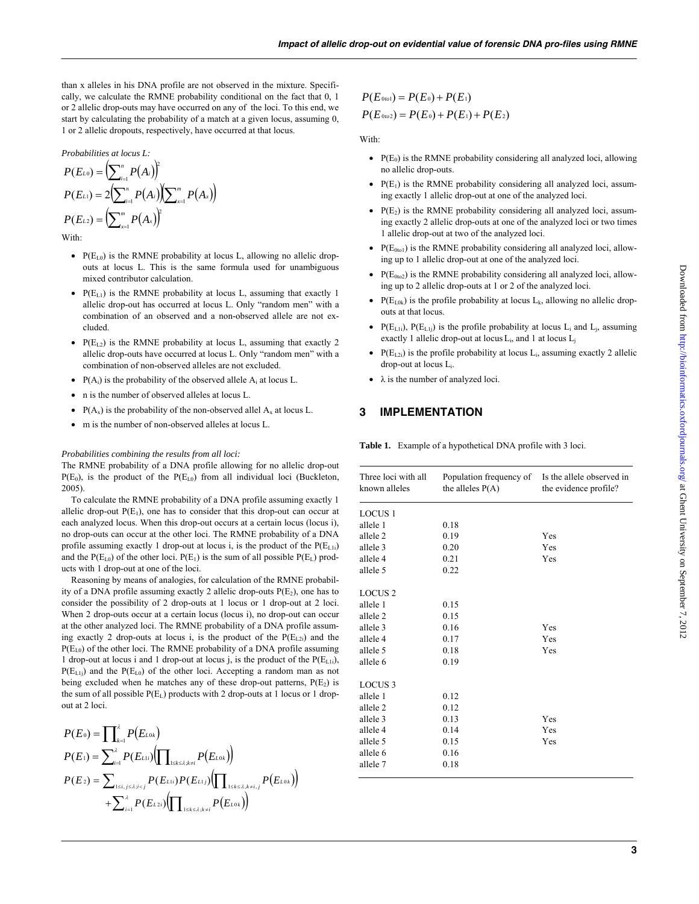than x alleles in his DNA profile are not observed in the mixture. Specifically, we calculate the RMNE probability conditional on the fact that 0, 1 or 2 allelic drop-outs may have occurred on any of the loci. To this end, we start by calculating the probability of a match at a given locus, assuming 0, 1 or 2 allelic dropouts, respectively, have occurred at that locus.

*Probabilities at locus L:* 

$$
P(E_{L0}) = \left(\sum_{i=1}^{n} P(A_i)\right)^2
$$
  
\n
$$
P(E_{L1}) = 2\left(\sum_{i=1}^{n} P(A_i)\right)\left(\sum_{x=1}^{m} P(A_x)\right)
$$
  
\n
$$
P(E_{L2}) = \left(\sum_{x=1}^{m} P(A_x)\right)^2
$$

With:

- $P(E_{L0})$  is the RMNE probability at locus L, allowing no allelic dropouts at locus L. This is the same formula used for unambiguous mixed contributor calculation.
- $P(E_{L1})$  is the RMNE probability at locus L, assuming that exactly 1 allelic drop-out has occurred at locus L. Only "random men" with a combination of an observed and a non-observed allele are not excluded.
- $P(E_{L2})$  is the RMNE probability at locus L, assuming that exactly 2 allelic drop-outs have occurred at locus L. Only "random men" with a combination of non-observed alleles are not excluded.
- $P(A_i)$  is the probability of the observed allele  $A_i$  at locus L.
- n is the number of observed alleles at locus L.
- $P(A_x)$  is the probability of the non-observed allel  $A_x$  at locus L.
- m is the number of non-observed alleles at locus L.

#### *Probabilities combining the results from all loci:*

The RMNE probability of a DNA profile allowing for no allelic drop-out  $P(E_0)$ , is the product of the  $P(E_{L0})$  from all individual loci (Buckleton, 2005).

To calculate the RMNE probability of a DNA profile assuming exactly 1 allelic drop-out  $P(E_1)$ , one has to consider that this drop-out can occur at each analyzed locus. When this drop-out occurs at a certain locus (locus i), no drop-outs can occur at the other loci. The RMNE probability of a DNA profile assuming exactly 1 drop-out at locus i, is the product of the  $P(E_{L1i})$ and the  $P(E_{L0})$  of the other loci.  $P(E_1)$  is the sum of all possible  $P(E_L)$  products with 1 drop-out at one of the loci.

Reasoning by means of analogies, for calculation of the RMNE probability of a DNA profile assuming exactly 2 allelic drop-outs  $P(E_2)$ , one has to consider the possibility of 2 drop-outs at 1 locus or 1 drop-out at 2 loci. When 2 drop-outs occur at a certain locus (locus i), no drop-out can occur at the other analyzed loci. The RMNE probability of a DNA profile assuming exactly 2 drop-outs at locus i, is the product of the  $P(E_{L2i})$  and the  $P(E_{L0})$  of the other loci. The RMNE probability of a DNA profile assuming 1 drop-out at locus i and 1 drop-out at locus j, is the product of the  $P(E<sub>L1i</sub>)$ ,  $P(E_{L1j})$  and the  $P(E_{L0})$  of the other loci. Accepting a random man as not being excluded when he matches any of these drop-out patterns,  $P(E_2)$  is the sum of all possible  $P(E_L)$  products with 2 drop-outs at 1 locus or 1 dropout at 2 loci.

$$
P(E_0) = \prod_{k=1}^{2} P(E_{L0k})
$$
  
\n
$$
P(E_1) = \sum_{i=1}^{2} P(E_{L1i}) (\prod_{1 \le k \le \lambda, k \ne i} P(E_{L0k}))
$$
  
\n
$$
P(E_2) = \sum_{1 \le i, j \le \lambda; i < j} P(E_{L1i}) P(E_{L1j}) (\prod_{1 \le k \le \lambda, k \ne i, j} P(E_{L0k}))
$$
  
\n
$$
+ \sum_{i=1}^{2} P(E_{L2i}) (\prod_{1 \le k \le \lambda, k \ne i} P(E_{L0k}))
$$

$$
P(E_{0to1}) = P(E_0) + P(E_1)
$$
  
 
$$
P(E_{0to2}) = P(E_0) + P(E_1) + P(E_2)
$$

With:

- $P(E_0)$  is the RMNE probability considering all analyzed loci, allowing no allelic drop-outs.
- $P(E_1)$  is the RMNE probability considering all analyzed loci, assuming exactly 1 allelic drop-out at one of the analyzed loci.
- $P(E_2)$  is the RMNE probability considering all analyzed loci, assuming exactly 2 allelic drop-outs at one of the analyzed loci or two times 1 allelic drop-out at two of the analyzed loci.
- $P(E<sub>0to1</sub>)$  is the RMNE probability considering all analyzed loci, allowing up to 1 allelic drop-out at one of the analyzed loci.
- $P(E<sub>0to2</sub>)$  is the RMNE probability considering all analyzed loci, allowing up to 2 allelic drop-outs at 1 or 2 of the analyzed loci.
- $P(E_{L0k})$  is the profile probability at locus  $L_k$ , allowing no allelic dropouts at that locus.
- $P(E_{L1i})$ ,  $P(E_{L1j})$  is the profile probability at locus  $L_i$  and  $L_j$ , assuming exactly 1 allelic drop-out at locus  $L_i$ , and 1 at locus  $L_i$
- $P(E_{L2i})$  is the profile probability at locus  $L_i$ , assuming exactly 2 allelic drop-out at locus Li.
- $\bullet$   $\lambda$  is the number of analyzed loci.

#### **3 IMPLEMENTATION**

**Table 1.** Example of a hypothetical DNA profile with 3 loci.

| Three loci with all<br>known alleles | Population frequency of<br>the alleles $P(A)$ | Is the allele observed in<br>the evidence profile? |
|--------------------------------------|-----------------------------------------------|----------------------------------------------------|
| <b>LOCUS 1</b>                       |                                               |                                                    |
| allele 1                             | 0.18                                          |                                                    |
| allele 2                             | 0.19                                          | Yes                                                |
| allele 3                             | 0.20                                          | Yes                                                |
| allele 4                             | 0.21                                          | Yes                                                |
| allele 5                             | 0.22                                          |                                                    |
|                                      |                                               |                                                    |
| <b>LOCUS 2</b>                       |                                               |                                                    |
| allele 1                             | 0.15                                          |                                                    |
| allele 2                             | 0.15                                          |                                                    |
| allele 3                             | 0.16                                          | Yes                                                |
| allele 4                             | 0.17                                          | Yes                                                |
| allele 5                             | 0.18                                          | Yes                                                |
| allele 6                             | 0.19                                          |                                                    |
|                                      |                                               |                                                    |
| <b>LOCUS 3</b>                       |                                               |                                                    |
| allele 1                             | 0.12                                          |                                                    |
| allele 2                             | 0.12                                          |                                                    |
| allele 3                             | 0.13                                          | Yes                                                |
| allele 4                             | 0.14                                          | Yes                                                |
| allele 5                             | 0.15                                          | Yes                                                |
| allele 6                             | 0.16                                          |                                                    |
| allele 7                             | 0.18                                          |                                                    |
|                                      |                                               |                                                    |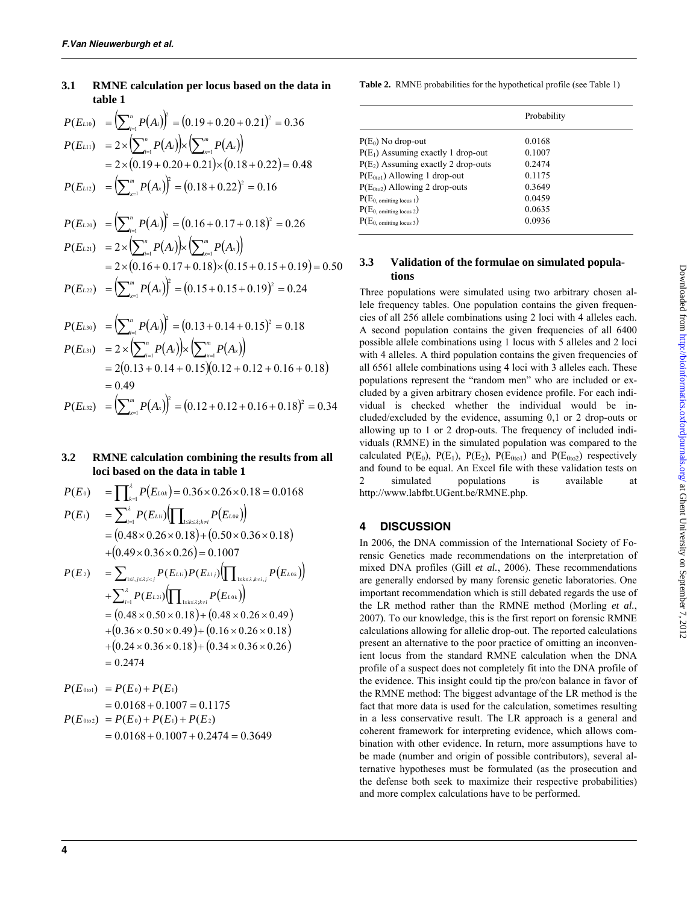## **3.1 RMNE calculation per locus based on the data in table 1**

$$
P(E_{L10}) = \left(\sum_{i=1}^{n} P(A_i)\right)^2 = (0.19 + 0.20 + 0.21)^2 = 0.36
$$
  
\n
$$
P(E_{L11}) = 2 \times \left(\sum_{i=1}^{n} P(A_i)\right) \times \left(\sum_{x=1}^{m} P(A_x)\right)
$$
  
\n
$$
= 2 \times (0.19 + 0.20 + 0.21) \times (0.18 + 0.22) = 0.48
$$
  
\n
$$
P(E_{L12}) = \left(\sum_{x=1}^{m} P(A_x)\right)^2 = (0.18 + 0.22)^2 = 0.16
$$

$$
P(E_{L20}) = \left(\sum_{i=1}^{n} P(A_i)\right)^2 = (0.16 + 0.17 + 0.18)^2 = 0.26
$$
  
\n
$$
P(E_{L21}) = 2 \times \left(\sum_{i=1}^{n} P(A_i)\right) \times \left(\sum_{x=1}^{m} P(A_x)\right)
$$
  
\n
$$
= 2 \times (0.16 + 0.17 + 0.18) \times (0.15 + 0.15 + 0.19) = 0.50
$$
  
\n
$$
P(E_{L21}) = \left(\sum_{i=1}^{m} P(A_i)\right)^2 + (0.15 + 0.15 + 0.19)^2 = 0.50
$$

$$
P(E_{L22}) = \left(\sum_{x=1}^{m} P(A_x)\right)^2 = (0.15 + 0.15 + 0.19)^2 = 0.24
$$

$$
P(E_{L30}) = (\sum_{i=1}^{n} P(A_i))^{2} = (0.13 + 0.14 + 0.15)^{2} = 0.18
$$
  
\n
$$
P(E_{L31}) = 2 \times (\sum_{i=1}^{n} P(A_i)) \times (\sum_{x=1}^{m} P(A_x))
$$
  
\n
$$
= 2(0.13 + 0.14 + 0.15)(0.12 + 0.12 + 0.16 + 0.18)
$$
  
\n
$$
= 0.49
$$
  
\n
$$
P(E_{L32}) = (\sum_{x=1}^{m} P(A_x))^{2} = (0.12 + 0.12 + 0.16 + 0.18)^{2} = 0.34
$$

#### **3.2 RMNE calculation combining the results from all loci based on the data in table 1**

$$
P(E_0) = \prod_{k=1}^{2} P(E_{L0k}) = 0.36 \times 0.26 \times 0.18 = 0.0168
$$

$$
P(E_1) = \sum_{i=1}^{3} P(E_{L1i}) \Big( \prod_{1 \le k \le 3, k \ne i} P(E_{L0k}) \Big)
$$
  
= (0.48 × 0.26 × 0.18) + (0.50 × 0.36 × 0.18)  
+ (0.49 × 0.36 × 0.26) = 0.1007

$$
P(E_2) = \sum_{1 \le i, j \le \lambda; i < j} P(E_{L1i}) P(E_{L1j}) \Big( \prod_{1 \le k \le \lambda, k \ne i, j} P(E_{L0k}) \Big) + \sum_{i=1}^{\lambda} P(E_{L2i}) \Big( \prod_{1 \le k \le \lambda, k \ne i} P(E_{L0k}) \Big) = \big( 0.48 \times 0.50 \times 0.18 \big) + \big( 0.48 \times 0.26 \times 0.49 \big) + \big( 0.36 \times 0.50 \times 0.49 \big) + \big( 0.16 \times 0.26 \times 0.18 \big) + \big( 0.24 \times 0.36 \times 0.18 \big) + \big( 0.34 \times 0.36 \times 0.26 \big) = 0.2474
$$

$$
P(E_{0to1}) = P(E_0) + P(E_1)
$$
  
= 0.0168 + 0.1007 = 0.1175  

$$
P(E_{0to2}) = P(E_0) + P(E_1) + P(E_2)
$$
  
= 0.0168 + 0.1007 + 0.2474 = 0.3649

**Table 2.** RMNE probabilities for the hypothetical profile (see Table 1)

|                                       | Probability |  |
|---------------------------------------|-------------|--|
| $P(E_0)$ No drop-out                  | 0.0168      |  |
| $P(E_1)$ Assuming exactly 1 drop-out  | 0.1007      |  |
| $P(E_2)$ Assuming exactly 2 drop-outs | 0.2474      |  |
| $P(E0to1)$ Allowing 1 drop-out        | 0.1175      |  |
| $P(E0to2)$ Allowing 2 drop-outs       | 0.3649      |  |
| $P(E_{0.}$ omitting locus 1)          | 0.0459      |  |
| $P(E_{0.} \text{ omitting locus } 2)$ | 0.0635      |  |
| $P(E_{0.}$ omitting locus 3)          | 0.0936      |  |

## **3.3 Validation of the formulae on simulated populations**

Three populations were simulated using two arbitrary chosen allele frequency tables. One population contains the given frequencies of all 256 allele combinations using 2 loci with 4 alleles each. A second population contains the given frequencies of all 6400 possible allele combinations using 1 locus with 5 alleles and 2 loci with 4 alleles. A third population contains the given frequencies of all 6561 allele combinations using 4 loci with 3 alleles each. These populations represent the "random men" who are included or excluded by a given arbitrary chosen evidence profile. For each individual is checked whether the individual would be included/excluded by the evidence, assuming 0,1 or 2 drop-outs or allowing up to 1 or 2 drop-outs. The frequency of included individuals (RMNE) in the simulated population was compared to the calculated P(E<sub>0</sub>), P(E<sub>1</sub>), P(E<sub>2</sub>), P(E<sub>0to1</sub>) and P(E<sub>0to2</sub>) respectively and found to be equal. An Excel file with these validation tests on 2 simulated populations is available at [http://www.labfbt.UGent.be/RMNE.php.](http://www.labfbt.UGent.be/RMNE.php) 

# **4 DISCUSSION**

In 2006, the DNA commission of the International Society of Forensic Genetics made recommendations on the interpretation of mixed DNA profiles (Gill *et al.*, 2006). These recommendations are generally endorsed by many forensic genetic laboratories. One important recommendation which is still debated regards the use of the LR method rather than the RMNE method (Morling *et al.*, 2007). To our knowledge, this is the first report on forensic RMNE calculations allowing for allelic drop-out. The reported calculations present an alternative to the poor practice of omitting an inconvenient locus from the standard RMNE calculation when the DNA profile of a suspect does not completely fit into the DNA profile of the evidence. This insight could tip the pro/con balance in favor of the RMNE method: The biggest advantage of the LR method is the fact that more data is used for the calculation, sometimes resulting in a less conservative result. The LR approach is a general and coherent framework for interpreting evidence, which allows combination with other evidence. In return, more assumptions have to be made (number and origin of possible contributors), several alternative hypotheses must be formulated (as the prosecution and the defense both seek to maximize their respective probabilities) and more complex calculations have to be performed.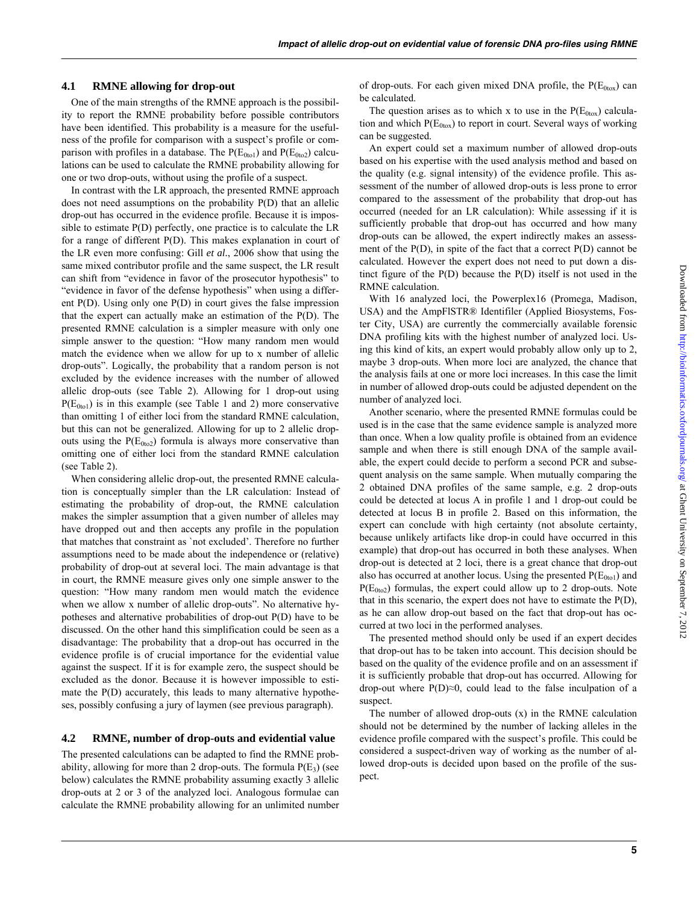#### **4.1 RMNE allowing for drop-out**

One of the main strengths of the RMNE approach is the possibility to report the RMNE probability before possible contributors have been identified. This probability is a measure for the usefulness of the profile for comparison with a suspect's profile or comparison with profiles in a database. The  $P(E_{0to1})$  and  $P(E_{0to2})$  calculations can be used to calculate the RMNE probability allowing for one or two drop-outs, without using the profile of a suspect.

In contrast with the LR approach, the presented RMNE approach does not need assumptions on the probability P(D) that an allelic drop-out has occurred in the evidence profile. Because it is impossible to estimate P(D) perfectly, one practice is to calculate the LR for a range of different P(D). This makes explanation in court of the LR even more confusing: Gill *et al.*, 2006 show that using the same mixed contributor profile and the same suspect, the LR result can shift from "evidence in favor of the prosecutor hypothesis" to "evidence in favor of the defense hypothesis" when using a different P(D). Using only one P(D) in court gives the false impression that the expert can actually make an estimation of the P(D). The presented RMNE calculation is a simpler measure with only one simple answer to the question: "How many random men would match the evidence when we allow for up to x number of allelic drop-outs". Logically, the probability that a random person is not excluded by the evidence increases with the number of allowed allelic drop-outs (see Table 2). Allowing for 1 drop-out using  $P(E<sub>0to1</sub>)$  is in this example (see Table 1 and 2) more conservative than omitting 1 of either loci from the standard RMNE calculation, but this can not be generalized. Allowing for up to 2 allelic dropouts using the  $P(E_{0to2})$  formula is always more conservative than omitting one of either loci from the standard RMNE calculation (see Table 2).

When considering allelic drop-out, the presented RMNE calculation is conceptually simpler than the LR calculation: Instead of estimating the probability of drop-out, the RMNE calculation makes the simpler assumption that a given number of alleles may have dropped out and then accepts any profile in the population that matches that constraint as `not excluded'. Therefore no further assumptions need to be made about the independence or (relative) probability of drop-out at several loci. The main advantage is that in court, the RMNE measure gives only one simple answer to the question: "How many random men would match the evidence when we allow x number of allelic drop-outs". No alternative hypotheses and alternative probabilities of drop-out P(D) have to be discussed. On the other hand this simplification could be seen as a disadvantage: The probability that a drop-out has occurred in the evidence profile is of crucial importance for the evidential value against the suspect. If it is for example zero, the suspect should be excluded as the donor. Because it is however impossible to estimate the P(D) accurately, this leads to many alternative hypotheses, possibly confusing a jury of laymen (see previous paragraph).

#### **4.2 RMNE, number of drop-outs and evidential value**

The presented calculations can be adapted to find the RMNE probability, allowing for more than 2 drop-outs. The formula  $P(E_3)$  (see below) calculates the RMNE probability assuming exactly 3 allelic drop-outs at 2 or 3 of the analyzed loci. Analogous formulae can calculate the RMNE probability allowing for an unlimited number of drop-outs. For each given mixed DNA profile, the  $P(E_{0\text{tox}})$  can be calculated.

The question arises as to which x to use in the  $P(E<sub>0tox</sub>)$  calculation and which  $P(E<sub>0tox</sub>)$  to report in court. Several ways of working can be suggested.

An expert could set a maximum number of allowed drop-outs based on his expertise with the used analysis method and based on the quality (e.g. signal intensity) of the evidence profile. This assessment of the number of allowed drop-outs is less prone to error compared to the assessment of the probability that drop-out has occurred (needed for an LR calculation): While assessing if it is sufficiently probable that drop-out has occurred and how many drop-outs can be allowed, the expert indirectly makes an assessment of the P(D), in spite of the fact that a correct P(D) cannot be calculated. However the expert does not need to put down a distinct figure of the P(D) because the P(D) itself is not used in the RMNE calculation.

With 16 analyzed loci, the Powerplex16 (Promega, Madison, USA) and the AmpFlSTR® Identifiler (Applied Biosystems, Foster City, USA) are currently the commercially available forensic DNA profiling kits with the highest number of analyzed loci. Using this kind of kits, an expert would probably allow only up to 2, maybe 3 drop-outs. When more loci are analyzed, the chance that the analysis fails at one or more loci increases. In this case the limit in number of allowed drop-outs could be adjusted dependent on the number of analyzed loci.

Another scenario, where the presented RMNE formulas could be used is in the case that the same evidence sample is analyzed more than once. When a low quality profile is obtained from an evidence sample and when there is still enough DNA of the sample available, the expert could decide to perform a second PCR and subsequent analysis on the same sample. When mutually comparing the 2 obtained DNA profiles of the same sample, e.g. 2 drop-outs could be detected at locus A in profile 1 and 1 drop-out could be detected at locus B in profile 2. Based on this information, the expert can conclude with high certainty (not absolute certainty, because unlikely artifacts like drop-in could have occurred in this example) that drop-out has occurred in both these analyses. When drop-out is detected at 2 loci, there is a great chance that drop-out also has occurred at another locus. Using the presented  $P(E_{0\text{tol}})$  and  $P(E_{0to2})$  formulas, the expert could allow up to 2 drop-outs. Note that in this scenario, the expert does not have to estimate the P(D), as he can allow drop-out based on the fact that drop-out has occurred at two loci in the performed analyses.

The presented method should only be used if an expert decides that drop-out has to be taken into account. This decision should be based on the quality of the evidence profile and on an assessment if it is sufficiently probable that drop-out has occurred. Allowing for drop-out where  $P(D) \approx 0$ , could lead to the false inculpation of a suspect.

The number of allowed drop-outs (x) in the RMNE calculation should not be determined by the number of lacking alleles in the evidence profile compared with the suspect's profile. This could be considered a suspect-driven way of working as the number of allowed drop-outs is decided upon based on the profile of the suspect.